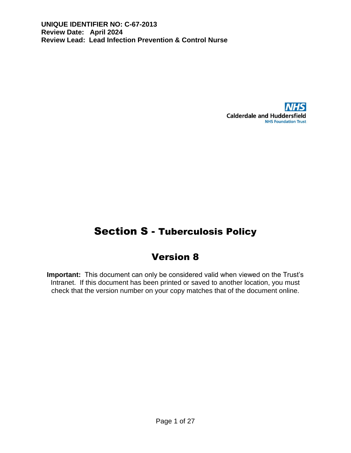

# Section S - Tuberculosis Policy

## Version 8

**Important:** This document can only be considered valid when viewed on the Trust's Intranet. If this document has been printed or saved to another location, you must check that the version number on your copy matches that of the document online.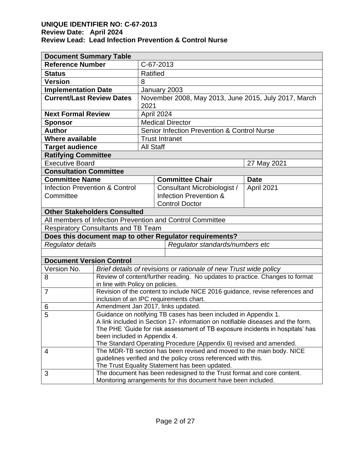| <b>Document Summary Table</b>                           |                                                                                                                  |                                                                              |             |  |  |  |
|---------------------------------------------------------|------------------------------------------------------------------------------------------------------------------|------------------------------------------------------------------------------|-------------|--|--|--|
| <b>Reference Number</b>                                 | C-67-2013                                                                                                        |                                                                              |             |  |  |  |
| <b>Status</b>                                           | Ratified                                                                                                         |                                                                              |             |  |  |  |
| <b>Version</b>                                          | 8                                                                                                                |                                                                              |             |  |  |  |
| <b>Implementation Date</b>                              |                                                                                                                  | January 2003                                                                 |             |  |  |  |
| <b>Current/Last Review Dates</b>                        |                                                                                                                  | November 2008, May 2013, June 2015, July 2017, March                         |             |  |  |  |
|                                                         |                                                                                                                  | 2021                                                                         |             |  |  |  |
| <b>Next Formal Review</b>                               |                                                                                                                  | April 2024                                                                   |             |  |  |  |
| <b>Sponsor</b>                                          |                                                                                                                  | <b>Medical Director</b>                                                      |             |  |  |  |
| <b>Author</b>                                           |                                                                                                                  | <b>Senior Infection Prevention &amp; Control Nurse</b>                       |             |  |  |  |
| <b>Where available</b>                                  |                                                                                                                  | <b>Trust Intranet</b>                                                        |             |  |  |  |
| <b>Target audience</b>                                  | <b>All Staff</b>                                                                                                 |                                                                              |             |  |  |  |
| <b>Ratifying Committee</b>                              |                                                                                                                  |                                                                              |             |  |  |  |
| <b>Executive Board</b>                                  |                                                                                                                  |                                                                              | 27 May 2021 |  |  |  |
| <b>Consultation Committee</b>                           |                                                                                                                  |                                                                              |             |  |  |  |
| <b>Committee Name</b>                                   |                                                                                                                  | <b>Committee Chair</b>                                                       | <b>Date</b> |  |  |  |
| <b>Infection Prevention &amp; Control</b>               |                                                                                                                  | Consultant Microbiologist /                                                  | April 2021  |  |  |  |
| Committee                                               |                                                                                                                  | Infection Prevention &                                                       |             |  |  |  |
|                                                         | <b>Control Doctor</b>                                                                                            |                                                                              |             |  |  |  |
|                                                         | <b>Other Stakeholders Consulted</b>                                                                              |                                                                              |             |  |  |  |
|                                                         | All members of Infection Prevention and Control Committee                                                        |                                                                              |             |  |  |  |
| <b>Respiratory Consultants and TB Team</b>              |                                                                                                                  |                                                                              |             |  |  |  |
| Does this document map to other Regulator requirements? |                                                                                                                  |                                                                              |             |  |  |  |
| Regulator details                                       |                                                                                                                  | Regulator standards/numbers etc                                              |             |  |  |  |
|                                                         |                                                                                                                  |                                                                              |             |  |  |  |
| <b>Document Version Control</b>                         |                                                                                                                  |                                                                              |             |  |  |  |
| Version No.                                             |                                                                                                                  | Brief details of revisions or rationale of new Trust wide policy             |             |  |  |  |
| 8                                                       |                                                                                                                  | Review of content/further reading. No updates to practice. Changes to format |             |  |  |  |
| in line with Policy on policies.<br>$\overline{7}$      |                                                                                                                  | Revision of the content to include NICE 2016 guidance, revise references and |             |  |  |  |
|                                                         |                                                                                                                  | inclusion of an IPC requirements chart.                                      |             |  |  |  |
| 6                                                       |                                                                                                                  | Amendment Jan 2017, links updated.                                           |             |  |  |  |
| 5                                                       | Guidance on notifying TB cases has been included in Appendix 1.                                                  |                                                                              |             |  |  |  |
|                                                         | A link included in Section 17- information on notifiable diseases and the form.                                  |                                                                              |             |  |  |  |
|                                                         | The PHE 'Guide for risk assessment of TB exposure incidents in hospitals' has                                    |                                                                              |             |  |  |  |
|                                                         | been included in Appendix 4.                                                                                     |                                                                              |             |  |  |  |
|                                                         |                                                                                                                  | The Standard Operating Procedure (Appendix 6) revised and amended.           |             |  |  |  |
| 4                                                       |                                                                                                                  | The MDR-TB section has been revised and moved to the main body. NICE         |             |  |  |  |
|                                                         | guidelines verified and the policy cross referenced with this.<br>The Trust Equality Statement has been updated. |                                                                              |             |  |  |  |
| 3                                                       |                                                                                                                  | The document has been redesigned to the Trust format and core content.       |             |  |  |  |
|                                                         |                                                                                                                  | Monitoring arrangements for this document have been included.                |             |  |  |  |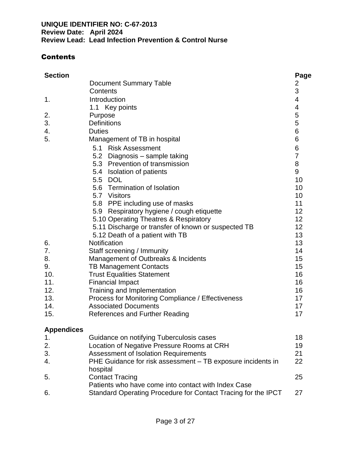### **Contents**

| <b>Section</b>    |                                                                         | Page           |
|-------------------|-------------------------------------------------------------------------|----------------|
|                   | <b>Document Summary Table</b>                                           | 2              |
|                   | Contents                                                                | 3              |
| 1.                | Introduction                                                            | 4              |
|                   | 1.1 Key points                                                          | 4              |
| 2.                | Purpose                                                                 | 5              |
| 3.                | <b>Definitions</b>                                                      | 5              |
| 4.                | <b>Duties</b>                                                           | $\,6$          |
| 5.                | Management of TB in hospital                                            | 6              |
|                   | 5.1 Risk Assessment                                                     | 6              |
|                   | 5.2<br>Diagnosis - sample taking                                        | $\overline{7}$ |
|                   | 5.3 Prevention of transmission                                          | 8              |
|                   | 5.4 Isolation of patients                                               | 9              |
|                   | 5.5 DOL                                                                 | 10             |
|                   | 5.6 Termination of Isolation                                            | 10             |
|                   | 5.7 Visitors                                                            | 10             |
|                   | 5.8 PPE including use of masks                                          | 11             |
|                   | 5.9 Respiratory hygiene / cough etiquette                               | 12             |
|                   | 5.10 Operating Theatres & Respiratory                                   | 12             |
|                   | 5.11 Discharge or transfer of known or suspected TB                     | 12             |
|                   | 5.12 Death of a patient with TB                                         | 13             |
| 6.                | Notification                                                            | 13             |
| 7.                | Staff screening / Immunity                                              | 14             |
| 8.                | Management of Outbreaks & Incidents                                     | 15             |
| 9.                | <b>TB Management Contacts</b>                                           | 15             |
| 10.               | <b>Trust Equalities Statement</b>                                       | 16             |
| 11.               | <b>Financial Impact</b>                                                 | 16             |
| 12.               | Training and Implementation                                             | 16             |
| 13.               | Process for Monitoring Compliance / Effectiveness                       | 17             |
| 14.               | <b>Associated Documents</b>                                             | 17             |
| 15.               | <b>References and Further Reading</b>                                   | 17             |
| <b>Appendices</b> |                                                                         |                |
| 1.                | Guidance on notifying Tuberculosis cases                                | 18             |
| 2.                | Location of Negative Pressure Rooms at CRH                              | 19             |
| 3.                | <b>Assessment of Isolation Requirements</b>                             | 21             |
| 4.                | PHE Guidance for risk assessment - TB exposure incidents in<br>hospital | 22             |
| 5.                | <b>Contact Tracing</b>                                                  | 25             |
|                   | Patients who have come into contact with Index Case                     |                |
| 6.                | Standard Operating Procedure for Contact Tracing for the IPCT           | 27             |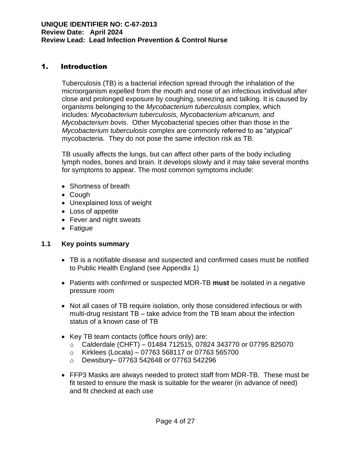### 1. Introduction

Tuberculosis (TB) is a bacterial infection spread through the inhalation of the microorganism expelled from the mouth and nose of an infectious individual after close and prolonged exposure by coughing, sneezing and talking. It is caused by organisms belonging to the *Mycobacterium tuberculosis* complex, which includes: *Mycobacterium tuberculosis, Mycobacterium africanum, and Mycobacterium bovis*. Other Mycobacterial species other than those in the *Mycobacterium tuberculosis* complex are commonly referred to as "atypical" mycobacteria. They do not pose the same infection risk as TB.

TB usually affects the lungs, but can affect other parts of the body including lymph nodes, bones and brain. It develops slowly and it may take several months for symptoms to appear. The most common symptoms include:

- Shortness of breath
- Cough
- Unexplained loss of weight
- Loss of appetite
- Fever and night sweats
- Fatigue

#### **1.1 Key points summary**

- TB is a notifiable disease and suspected and confirmed cases must be notified to Public Health England (see Appendix 1)
- Patients with confirmed or suspected MDR-TB **must** be isolated in a negative pressure room
- Not all cases of TB require isolation, only those considered infectious or with multi-drug resistant TB – take advice from the TB team about the infection status of a known case of TB
- Key TB team contacts (office hours only) are:
	- o Calderdale (CHFT) 01484 712515, 07824 343770 or 07795 825070
	- $\circ$  Kirklees (Locala) 07763 568117 or 07763 565700
	- o Dewsbury– 07763 542648 or 07763 542296
- FFP3 Masks are always needed to protect staff from MDR-TB. These must be fit tested to ensure the mask is suitable for the wearer (in advance of need) and fit checked at each use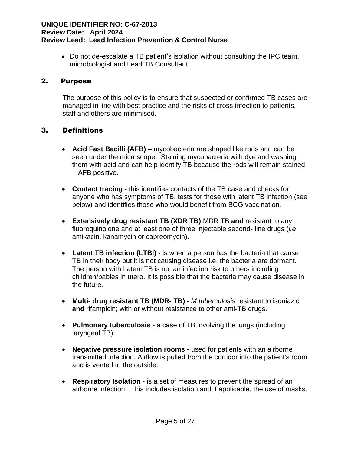• Do not de-escalate a TB patient's isolation without consulting the IPC team, microbiologist and Lead TB Consultant

#### 2. Purpose

The purpose of this policy is to ensure that suspected or confirmed TB cases are managed in line with best practice and the risks of cross infection to patients, staff and others are minimised.

#### 3. Definitions

- **Acid Fast Bacilli (AFB)** mycobacteria are shaped like rods and can be seen under the microscope. Staining mycobacteria with dye and washing them with acid and can help identify TB because the rods will remain stained – AFB positive.
- **Contact tracing -** this identifies contacts of the TB case and checks for anyone who has symptoms of TB, tests for those with latent TB infection (see below) and identifies those who would benefit from BCG vaccination.
- **Extensively drug resistant TB (XDR TB)** MDR TB **and** resistant to any fluoroquinolone and at least one of three injectable second- line drugs (*i.e*  amikacin, kanamycin or capreomycin).
- **Latent TB infection (LTBI) -** is when a person has the bacteria that cause TB in their body but it is not causing disease i.e. the bacteria are dormant. The person with Latent TB is not an infection risk to others including children/babies in utero. It is possible that the bacteria may cause disease in the future.
- **Multi- drug resistant TB (MDR- TB) -** *M tuberculosis* resistant to isoniazid **and** rifampicin; with or without resistance to other anti-TB drugs.
- **Pulmonary tuberculosis -** a case of TB involving the lungs (including laryngeal TB).
- **Negative pressure isolation rooms -** used for patients with an airborne transmitted infection. Airflow is pulled from the corridor into the patient's room and is vented to the outside.
- **Respiratory Isolation** is a set of measures to prevent the spread of an airborne infection. This includes isolation and if applicable, the use of masks.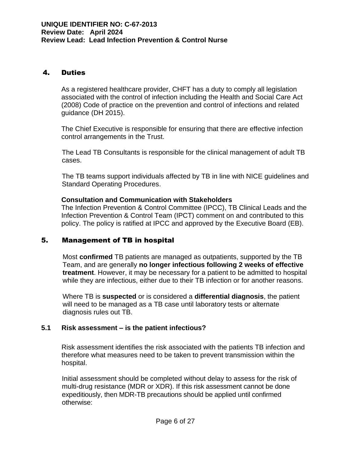#### 4. Duties

As a registered healthcare provider, CHFT has a duty to comply all legislation associated with the control of infection including the Health and Social Care Act (2008) Code of practice on the prevention and control of infections and related guidance (DH 2015).

The Chief Executive is responsible for ensuring that there are effective infection control arrangements in the Trust.

The Lead TB Consultants is responsible for the clinical management of adult TB cases.

The TB teams support individuals affected by TB in line with NICE guidelines and Standard Operating Procedures.

#### **Consultation and Communication with Stakeholders**

The Infection Prevention & Control Committee (IPCC), TB Clinical Leads and the Infection Prevention & Control Team (IPCT) comment on and contributed to this policy. The policy is ratified at IPCC and approved by the Executive Board (EB).

#### 5. Management of TB in hospital

Most **confirmed** TB patients are managed as outpatients, supported by the TB Team, and are generally **no longer infectious following 2 weeks of effective treatment**. However, it may be necessary for a patient to be admitted to hospital while they are infectious, either due to their TB infection or for another reasons.

Where TB is **suspected** or is considered a **differential diagnosis**, the patient will need to be managed as a TB case until laboratory tests or alternate diagnosis rules out TB.

#### **5.1 Risk assessment – is the patient infectious?**

Risk assessment identifies the risk associated with the patients TB infection and therefore what measures need to be taken to prevent transmission within the hospital.

Initial assessment should be completed without delay to assess for the risk of multi-drug resistance (MDR or XDR). If this risk assessment cannot be done expeditiously, then MDR-TB precautions should be applied until confirmed otherwise: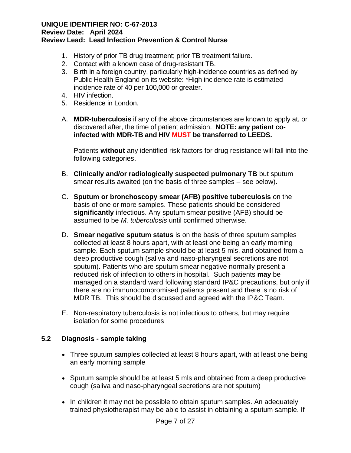- 1. History of prior TB drug treatment; prior TB treatment failure.
- 2. Contact with a known case of drug-resistant TB.
- 3. Birth in a foreign country, particularly high-incidence countries as defined by Public Health England on its [website:](https://www.gov.uk/government/uploads/system/uploads/attachment_data/file/581013/WHO_estimates_of_tuberculosis_incidence_by_country__2015.pdf) \*High incidence rate is estimated incidence rate of 40 per 100,000 or greater.
- 4. HIV infection.
- 5. Residence in London.
- A. **MDR-tuberculosis** if any of the above circumstances are known to apply at, or discovered after, the time of patient admission. **NOTE: any patient coinfected with MDR-TB and HIV MUST be transferred to LEEDS.**

Patients **without** any identified risk factors for drug resistance will fall into the following categories.

- B. **Clinically and/or radiologically suspected pulmonary TB** but sputum smear results awaited (on the basis of three samples – see below).
- C. **Sputum or bronchoscopy smear (AFB) positive tuberculosis** on the basis of one or more samples. These patients should be considered **significantly** infectious. Any sputum smear positive (AFB) should be assumed to be *M. tuberculosis* until confirmed otherwise.
- D. **Smear negative sputum status** is on the basis of three sputum samples collected at least 8 hours apart, with at least one being an early morning sample. Each sputum sample should be at least 5 mls, and obtained from a deep productive cough (saliva and naso-pharyngeal secretions are not sputum). Patients who are sputum smear negative normally present a reduced risk of infection to others in hospital. Such patients **may** be managed on a standard ward following standard IP&C precautions, but only if there are no immunocompromised patients present and there is no risk of MDR TB. This should be discussed and agreed with the IP&C Team.
- E. Non-respiratory tuberculosis is not infectious to others, but may require isolation for some procedures

#### **5.2 Diagnosis - sample taking**

- Three sputum samples collected at least 8 hours apart, with at least one being an early morning sample
- Sputum sample should be at least 5 mls and obtained from a deep productive cough (saliva and naso-pharyngeal secretions are not sputum)
- In children it may not be possible to obtain sputum samples. An adequately trained physiotherapist may be able to assist in obtaining a sputum sample. If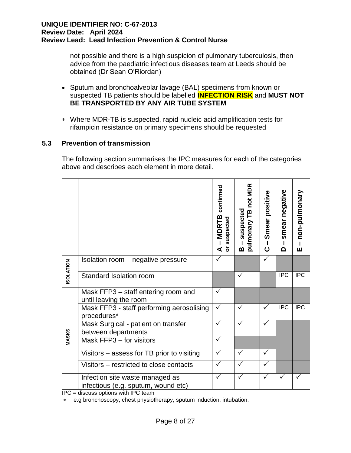not possible and there is a high suspicion of pulmonary tuberculosis, then advice from the paediatric infectious diseases team at Leeds should be obtained (Dr Sean O'Riordan)

- Sputum and bronchoalveolar lavage (BAL) specimens from known or suspected TB patients should be labelled **INFECTION RISK** and **MUST NOT BE TRANSPORTED BY ANY AIR TUBE SYSTEM**
- Where MDR-TB is suspected, rapid nucleic acid amplification tests for rifampicin resistance on primary specimens should be requested

#### **5.3 Prevention of transmission**

The following section summarises the IPC measures for each of the categories above and describes each element in more detail.

|                  |                                                                        | confirmed<br><b>MDRTB</b><br>suspected<br>$\overline{5}$<br>⋖ | pulmonary TB not MDR<br>suspected<br>m | Smear positive<br>$\mathbf{I}$<br>$\mathbf C$ | negative<br>smear<br>I.<br>$\Omega$ | non-pulmonary<br>Ш |
|------------------|------------------------------------------------------------------------|---------------------------------------------------------------|----------------------------------------|-----------------------------------------------|-------------------------------------|--------------------|
| <b>ISOLATION</b> | Isolation room – negative pressure                                     |                                                               |                                        | ✓                                             |                                     |                    |
|                  | Standard Isolation room                                                |                                                               | ✓                                      |                                               | <b>IPC</b>                          | <b>IPC</b>         |
|                  | Mask FFP3 – staff entering room and<br>until leaving the room          | ✓                                                             |                                        |                                               |                                     |                    |
|                  | Mask FFP3 - staff performing aerosolising<br>procedures*               | ✓                                                             | ✓                                      | ✓                                             | <b>IPC</b>                          | <b>IPC</b>         |
|                  | Mask Surgical - patient on transfer<br>between departments             |                                                               |                                        |                                               |                                     |                    |
| MASKS            | Mask FFP3 - for visitors                                               | $\checkmark$                                                  |                                        |                                               |                                     |                    |
|                  | Visitors – assess for TB prior to visiting                             |                                                               | ✓                                      |                                               |                                     |                    |
|                  | Visitors – restricted to close contacts                                |                                                               |                                        |                                               |                                     |                    |
|                  | Infection site waste managed as<br>infectious (e.g. sputum, wound etc) | $\checkmark$                                                  | ✓                                      | ✓                                             |                                     |                    |

IPC = discuss options with IPC team

e.g bronchoscopy, chest physiotherapy, sputum induction, intubation.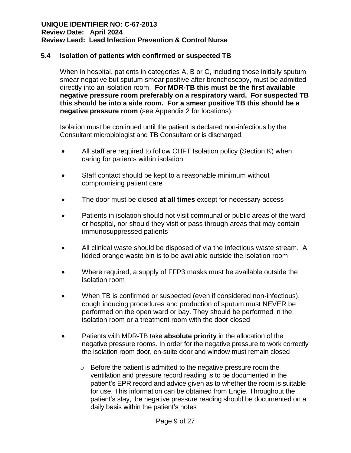#### **5.4 Isolation of patients with confirmed or suspected TB**

When in hospital, patients in categories A, B or C, including those initially sputum smear negative but sputum smear positive after bronchoscopy, must be admitted directly into an isolation room. **For MDR-TB this must be the first available negative pressure room preferably on a respiratory ward. For suspected TB this should be into a side room. For a smear positive TB this should be a negative pressure room** (see Appendix 2 for locations).

Isolation must be continued until the patient is declared non-infectious by the Consultant microbiologist and TB Consultant or is discharged.

- All staff are required to follow CHFT Isolation policy (Section K) when caring for patients within isolation
- Staff contact should be kept to a reasonable minimum without compromising patient care
- The door must be closed **at all times** except for necessary access
- Patients in isolation should not visit communal or public areas of the ward or hospital, nor should they visit or pass through areas that may contain immunosuppressed patients
- All clinical waste should be disposed of via the infectious waste stream. A lidded orange waste bin is to be available outside the isolation room
- Where required, a supply of FFP3 masks must be available outside the isolation room
- When TB is confirmed or suspected (even if considered non-infectious), cough inducing procedures and production of sputum must NEVER be performed on the open ward or bay. They should be performed in the isolation room or a treatment room with the door closed
- Patients with MDR-TB take **absolute priority** in the allocation of the negative pressure rooms. In order for the negative pressure to work correctly the isolation room door, en-suite door and window must remain closed
	- o Before the patient is admitted to the negative pressure room the ventilation and pressure record reading is to be documented in the patient's EPR record and advice given as to whether the room is suitable for use. This information can be obtained from Engie. Throughout the patient's stay, the negative pressure reading should be documented on a daily basis within the patient's notes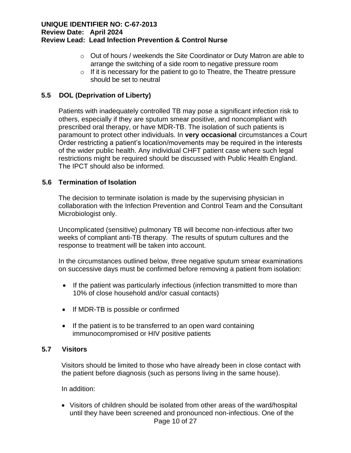- o Out of hours / weekends the Site Coordinator or Duty Matron are able to arrange the switching of a side room to negative pressure room
- o If it is necessary for the patient to go to Theatre, the Theatre pressure should be set to neutral

#### **5.5 DOL (Deprivation of Liberty)**

Patients with inadequately controlled TB may pose a significant infection risk to others, especially if they are sputum smear positive, and noncompliant with prescribed oral therapy, or have MDR-TB. The isolation of such patients is paramount to protect other individuals. In **very occasional** circumstances a Court Order restricting a patient's location/movements may be required in the interests of the wider public health. Any individual CHFT patient case where such legal restrictions might be required should be discussed with Public Health England. The IPCT should also be informed.

#### **5.6 Termination of Isolation**

The decision to terminate isolation is made by the supervising physician in collaboration with the Infection Prevention and Control Team and the Consultant Microbiologist only.

Uncomplicated (sensitive) pulmonary TB will become non-infectious after two weeks of compliant anti-TB therapy. The results of sputum cultures and the response to treatment will be taken into account.

In the circumstances outlined below, three negative sputum smear examinations on successive days must be confirmed before removing a patient from isolation:

- If the patient was particularly infectious (infection transmitted to more than 10% of close household and/or casual contacts)
- If MDR-TB is possible or confirmed
- If the patient is to be transferred to an open ward containing immunocompromised or HIV positive patients

#### **5.7 Visitors**

Visitors should be limited to those who have already been in close contact with the patient before diagnosis (such as persons living in the same house).

In addition:

Page 10 of 27 • Visitors of children should be isolated from other areas of the ward/hospital until they have been screened and pronounced non-infectious. One of the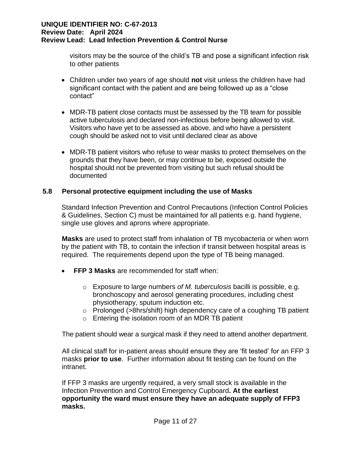visitors may be the source of the child's TB and pose a significant infection risk to other patients

- Children under two years of age should **not** visit unless the children have had significant contact with the patient and are being followed up as a "close contact"
- MDR-TB patient close contacts must be assessed by the TB team for possible active tuberculosis and declared non-infectious before being allowed to visit. Visitors who have yet to be assessed as above, and who have a persistent cough should be asked not to visit until declared clear as above
- MDR-TB patient visitors who refuse to wear masks to protect themselves on the grounds that they have been, or may continue to be, exposed outside the hospital should not be prevented from visiting but such refusal should be documented

#### **5.8 Personal protective equipment including the use of Masks**

Standard Infection Prevention and Control Precautions (Infection Control Policies & Guidelines, Section C) must be maintained for all patients e.g. hand hygiene, single use gloves and aprons where appropriate.

**Masks** are used to protect staff from inhalation of TB mycobacteria or when worn by the patient with TB, to contain the infection if transit between hospital areas is required. The requirements depend upon the type of TB being managed.

- **FFP 3 Masks** are recommended for staff when:
	- o Exposure to large numbers *of M. tuberculosis* bacilli is possible, e.g. bronchoscopy and aerosol generating procedures, including chest physiotherapy, sputum induction etc.
	- $\circ$  Prolonged (>8hrs/shift) high dependency care of a coughing TB patient
	- $\circ$  Entering the isolation room of an MDR TB patient

The patient should wear a surgical mask if they need to attend another department.

All clinical staff for in-patient areas should ensure they are 'fit tested' for an FFP 3 masks **prior to use**. Further information about fit testing can be found on the intranet.

If FFP 3 masks are urgently required, a very small stock is available in the Infection Prevention and Control Emergency Cupboard**. At the earliest opportunity the ward must ensure they have an adequate supply of FFP3 masks.**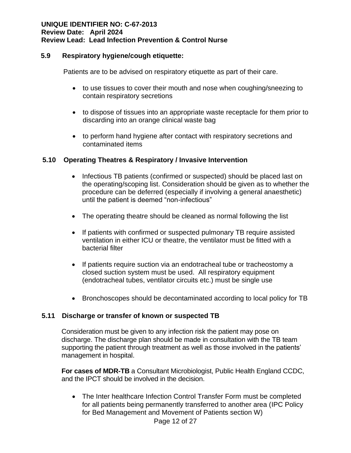#### **5.9 Respiratory hygiene/cough etiquette:**

Patients are to be advised on respiratory etiquette as part of their care.

- to use tissues to cover their mouth and nose when coughing/sneezing to contain respiratory secretions
- to dispose of tissues into an appropriate waste receptacle for them prior to discarding into an orange clinical waste bag
- to perform hand hygiene after contact with respiratory secretions and contaminated items

#### **5.10 Operating Theatres & Respiratory / Invasive Intervention**

- Infectious TB patients (confirmed or suspected) should be placed last on the operating/scoping list. Consideration should be given as to whether the procedure can be deferred (especially if involving a general anaesthetic) until the patient is deemed "non-infectious"
- The operating theatre should be cleaned as normal following the list
- If patients with confirmed or suspected pulmonary TB require assisted ventilation in either ICU or theatre, the ventilator must be fitted with a bacterial filter
- If patients require suction via an endotracheal tube or tracheostomy a closed suction system must be used. All respiratory equipment (endotracheal tubes, ventilator circuits etc.) must be single use
- Bronchoscopes should be decontaminated according to local policy for TB

#### **5.11 Discharge or transfer of known or suspected TB**

Consideration must be given to any infection risk the patient may pose on discharge. The discharge plan should be made in consultation with the TB team supporting the patient through treatment as well as those involved in the patients' management in hospital.

**For cases of MDR-TB** a Consultant Microbiologist, Public Health England CCDC, and the IPCT should be involved in the decision.

• The Inter healthcare Infection Control Transfer Form must be completed for all patients being permanently transferred to another area (IPC Policy for Bed Management and Movement of Patients section W)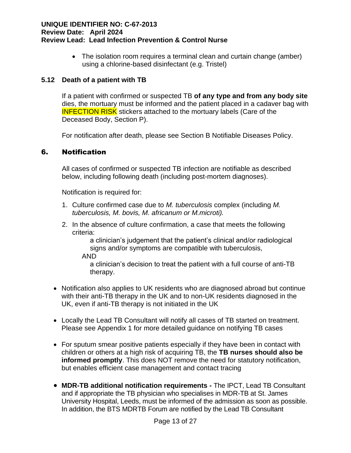• The isolation room requires a terminal clean and curtain change (amber) using a chlorine-based disinfectant (e.g. Tristel)

#### **5.12 Death of a patient with TB**

If a patient with confirmed or suspected TB **of any type and from any body site** dies, the mortuary must be informed and the patient placed in a cadaver bag with **INFECTION RISK** stickers attached to the mortuary labels (Care of the Deceased Body, Section P).

For notification after death, please see Section B Notifiable Diseases Policy.

#### 6. Notification

All cases of confirmed or suspected TB infection are notifiable as described below, including following death (including post-mortem diagnoses).

Notification is required for:

- 1. Culture confirmed case due to *M. tuberculosis* complex (including *M. tuberculosis, M. bovis, M. africanum or M.microti).*
- 2. In the absence of culture confirmation, a case that meets the following criteria:

a clinician's judgement that the patient's clinical and/or radiological signs and/or symptoms are compatible with tuberculosis,

AND

a clinician's decision to treat the patient with a full course of anti-TB therapy.

- Notification also applies to UK residents who are diagnosed abroad but continue with their anti-TB therapy in the UK and to non-UK residents diagnosed in the UK, even if anti-TB therapy is not initiated in the UK
- Locally the Lead TB Consultant will notify all cases of TB started on treatment. Please see Appendix 1 for more detailed guidance on notifying TB cases
- For sputum smear positive patients especially if they have been in contact with children or others at a high risk of acquiring TB, the **TB nurses should also be informed promptly**. This does NOT remove the need for statutory notification, but enables efficient case management and contact tracing
- **MDR-TB additional notification requirements -** The IPCT, Lead TB Consultant and if appropriate the TB physician who specialises in MDR-TB at St. James University Hospital, Leeds, must be informed of the admission as soon as possible. In addition, the BTS MDRTB Forum are notified by the Lead TB Consultant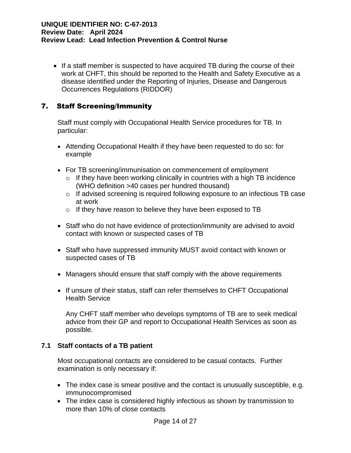• If a staff member is suspected to have acquired TB during the course of their work at CHFT, this should be reported to the Health and Safety Executive as a disease identified under the Reporting of Injuries, Disease and Dangerous Occurrences Regulations (RIDDOR)

### 7. Staff Screening/Immunity

Staff must comply with Occupational Health Service procedures for TB. In particular:

- Attending Occupational Health if they have been requested to do so: for example
- For TB screening/immunisation on commencement of employment
	- $\circ$  If they have been working clinically in countries with a high TB incidence (WHO definition >40 cases per hundred thousand)
	- o If advised screening is required following exposure to an infectious TB case at work
	- o If they have reason to believe they have been exposed to TB
- Staff who do not have evidence of protection/immunity are advised to avoid contact with known or suspected cases of TB
- Staff who have suppressed immunity MUST avoid contact with known or suspected cases of TB
- Managers should ensure that staff comply with the above requirements
- If unsure of their status, staff can refer themselves to CHFT Occupational Health Service

Any CHFT staff member who develops symptoms of TB are to seek medical advice from their GP and report to Occupational Health Services as soon as possible.

#### **7.1 Staff contacts of a TB patient**

Most occupational contacts are considered to be casual contacts. Further examination is only necessary if:

- The index case is smear positive and the contact is unusually susceptible, e.g. immunocompromised
- The index case is considered highly infectious as shown by transmission to more than 10% of close contacts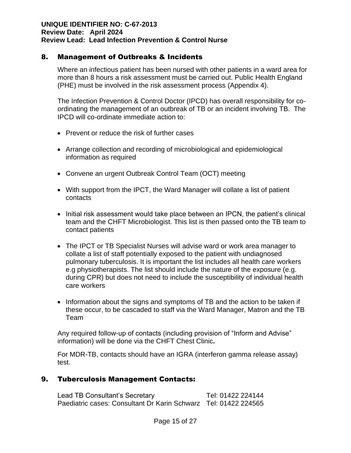#### 8. Management of Outbreaks & Incidents

Where an infectious patient has been nursed with other patients in a ward area for more than 8 hours a risk assessment must be carried out. Public Health England (PHE) must be involved in the risk assessment process (Appendix 4).

The Infection Prevention & Control Doctor (IPCD) has overall responsibility for coordinating the management of an outbreak of TB or an incident involving TB. The IPCD will co-ordinate immediate action to:

- Prevent or reduce the risk of further cases
- Arrange collection and recording of microbiological and epidemiological information as required
- Convene an urgent Outbreak Control Team (OCT) meeting
- With support from the IPCT, the Ward Manager will collate a list of patient contacts
- Initial risk assessment would take place between an IPCN, the patient's clinical team and the CHFT Microbiologist. This list is then passed onto the TB team to contact patients
- The IPCT or TB Specialist Nurses will advise ward or work area manager to collate a list of staff potentially exposed to the patient with undiagnosed pulmonary tuberculosis. It is important the list includes all health care workers e.g physiotherapists. The list should include the nature of the exposure (e.g. during CPR) but does not need to include the susceptibility of individual health care workers
- Information about the signs and symptoms of TB and the action to be taken if these occur, to be cascaded to staff via the Ward Manager, Matron and the TB Team

Any required follow-up of contacts (including provision of "Inform and Advise" information) will be done via the CHFT Chest Clinic**.**

For MDR-TB, contacts should have an IGRA (interferon gamma release assay) test.

#### 9. Tuberculosis Management Contacts:

Lead TB Consultant's Secretary Tel: 01422 224144 Paediatric cases: Consultant Dr Karin Schwarz Tel: 01422 224565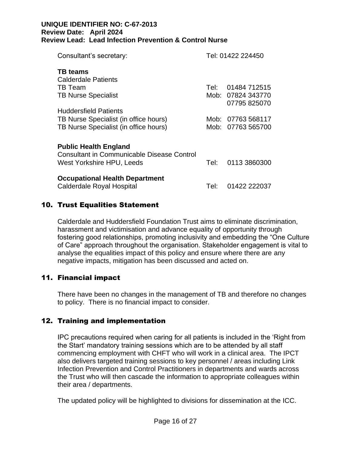| Consultant's secretary:                                                           |        | Tel: 01422 224450 |
|-----------------------------------------------------------------------------------|--------|-------------------|
| <b>TB</b> teams<br>Calderdale Patients                                            |        |                   |
| TB Team                                                                           |        | Tel: 01484 712515 |
| <b>TB Nurse Specialist</b>                                                        |        | Mob: 07824 343770 |
|                                                                                   |        | 07795 825070      |
| <b>Huddersfield Patients</b>                                                      |        |                   |
| TB Nurse Specialist (in office hours)                                             | Mob: . | 07763 568117      |
| TB Nurse Specialist (in office hours)                                             | Mob: . | 07763 565700      |
|                                                                                   |        |                   |
| <b>Public Health England</b><br><b>Consultant in Communicable Disease Control</b> |        |                   |
| West Yorkshire HPU, Leeds                                                         | Tel:   | 0113 3860300      |
| <b>Occupational Health Department</b>                                             |        |                   |
| <b>Calderdale Royal Hospital</b>                                                  | Tel:   | 01422 222037      |

### 10. Trust Equalities Statement

Calderdale and Huddersfield Foundation Trust aims to eliminate discrimination, harassment and victimisation and advance equality of opportunity through fostering good relationships, promoting inclusivity and embedding the "One Culture of Care" approach throughout the organisation. Stakeholder engagement is vital to analyse the equalities impact of this policy and ensure where there are any negative impacts, mitigation has been discussed and acted on.

#### 11. Financial impact

There have been no changes in the management of TB and therefore no changes to policy. There is no financial impact to consider.

#### 12. Training and implementation

IPC precautions required when caring for all patients is included in the 'Right from the Start' mandatory training sessions which are to be attended by all staff commencing employment with CHFT who will work in a clinical area. The IPCT also delivers targeted training sessions to key personnel / areas including Link Infection Prevention and Control Practitioners in departments and wards across the Trust who will then cascade the information to appropriate colleagues within their area / departments.

The updated policy will be highlighted to divisions for dissemination at the ICC.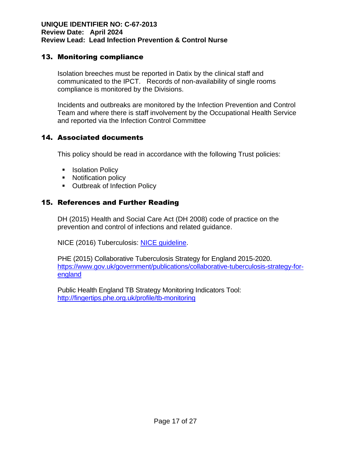### 13. Monitoring compliance

Isolation breeches must be reported in Datix by the clinical staff and communicated to the IPCT. Records of non-availability of single rooms compliance is monitored by the Divisions.

Incidents and outbreaks are monitored by the Infection Prevention and Control Team and where there is staff involvement by the Occupational Health Service and reported via the Infection Control Committee

### 14. Associated documents

This policy should be read in accordance with the following Trust policies:

- Isolation Policy
- Notification policy
- [Outbreak of Infection Policy](https://documentation.cht.nhs.uk/view-document.php?docID=495)

### 15. References and Further Reading

DH (2015) Health and Social Care Act (DH 2008) code of practice on the prevention and control of infections and related guidance.

NICE (2016) Tuberculosis: [NICE guideline.](https://www.nice.org.uk/guidance/ng33/chapter/Recommendations)

PHE (2015) Collaborative Tuberculosis Strategy for England 2015-2020. [https://www.gov.uk/government/publications/collaborative-tuberculosis-strategy-for](https://www.gov.uk/government/publications/collaborative-tuberculosis-strategy-for-england)[england](https://www.gov.uk/government/publications/collaborative-tuberculosis-strategy-for-england)

Public Health England TB Strategy Monitoring Indicators Tool: <http://fingertips.phe.org.uk/profile/tb-monitoring>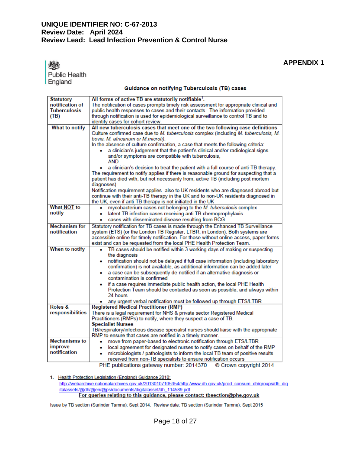**APPENDIX 1**

**Public Health** England

#### Guidance on notifying Tuberculosis (TB) cases

| <b>Statutory</b>    | All forms of active TB are statutorily notifiable <sup>1</sup> .                        |
|---------------------|-----------------------------------------------------------------------------------------|
| notification of     | The notification of cases prompts timely risk assessment for appropriate clinical and   |
| <b>Tuberculosis</b> | public health responses to cases and their contacts. The information provided           |
| (TB)                | through notification is used for epidemiological surveillance to control TB and to      |
|                     | identify cases for cohort review.                                                       |
| What to notify      | All new tuberculosis cases that meet one of the two following case definitions          |
|                     | Culture confirmed case due to M. tuberculosis complex (including M. tuberculosis, M.    |
|                     |                                                                                         |
|                     | bovis, M. africanum or M.microti).                                                      |
|                     | In the absence of culture confirmation, a case that meets the following criteria:       |
|                     | a clinician's judgement that the patient's clinical and/or radiological signs           |
|                     | and/or symptoms are compatible with tuberculosis,                                       |
|                     | <b>AND</b>                                                                              |
|                     | a clinician's decision to treat the patient with a full course of anti-TB therapy.      |
|                     | The requirement to notify applies if there is reasonable ground for suspecting that a   |
|                     | patient has died with, but not necessarily from, active TB (including post mortem       |
|                     | diagnoses)                                                                              |
|                     | Notification requirement applies also to UK residents who are diagnosed abroad but      |
|                     | continue with their anti-TB therapy in the UK and to non-UK residents diagnosed in      |
|                     | the UK, even if anti-TB therapy is not initiated in the UK                              |
| <b>What NOT to</b>  | mycobacterium cases not belonging to the M. tuberculosis complex                        |
| notify              | latent TB infection cases receiving anti TB chemoprophylaxis<br>۰                       |
|                     |                                                                                         |
|                     | cases with disseminated disease resulting from BCG<br>۰                                 |
| Mechanism for       | Statutory notification for TB cases is made through the Enhanced TB Surveillance        |
| notification        | system (ETS) (or the London TB Register, LTBR, in London). Both systems are             |
|                     | accessible online for timely notification. For those without online access, paper forms |
|                     | exist and can be requested from the local PHE Health Protection Team.                   |
| When to notify      | TB cases should be notified within 3 working days of making or suspecting<br>٠          |
|                     | the diagnosis                                                                           |
|                     | notification should not be delayed if full case information (including laboratory<br>٠  |
|                     | confirmation) is not available, as additional information can be added later            |
|                     | a case can be subsequently de-notified if an alternative diagnosis or<br>٠              |
|                     | contamination is confirmed                                                              |
|                     |                                                                                         |
|                     | if a case requires immediate public health action, the local PHE Health                 |
|                     | Protection Team should be contacted as soon as possible, and always within              |
|                     | 24 hours                                                                                |
|                     | • any urgent verbal notification must be followed up through ETS/LTBR                   |
| Roles &             | <b>Registered Medical Practitioner (RMP)</b>                                            |
| responsibilities    | There is a legal requirement for NHS & private sector Registered Medical                |
|                     | Practitioners (RMPs) to notify, where they suspect a case of TB.                        |
|                     | <b>Specialist Nurses</b>                                                                |
|                     | TB/respiratory/infectious disease specialist nurses should liaise with the appropriate  |
|                     | RMP to ensure that cases are notified in a timely manner.                               |
| Mechanisms to       | move from paper-based to electronic notification through ETS/LTBR<br>۰                  |
| improve             | local agreement for designated nurses to notify cases on behalf of the RMP<br>۰         |
| notification        | microbiologists / pathologists to inform the local TB team of positive results<br>٠     |
|                     |                                                                                         |
|                     | received from non-TB specialists to ensure notification occurs                          |
|                     | PHE publications gateway number: 2014370 © Crown copyright 2014                         |

1. Health Protection Legislation (England) Guidance 2010:

http://webarchive.nationalarchives.gov.uk/20130107105354/http:/www.dh.gov.uk/prod\_consum\_dh/groups/dh\_dig italassets/@dh/@en/@ps/documents/digitalasset/dh\_114589.pdf For queries relating to this guidance, please contact: tbsection@phe.gov.uk

Issue by TB section (Surinder Tamne): Sept 2014. Review date: TB section (Surinder Tamne): Sept 2015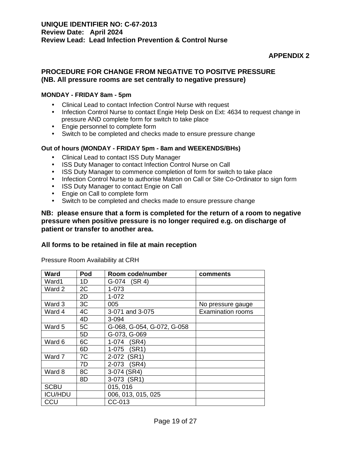#### **APPENDIX 2**

#### **PROCEDURE FOR CHANGE FROM NEGATIVE TO POSITVE PRESSURE (NB. All pressure rooms are set centrally to negative pressure)**

#### **MONDAY - FRIDAY 8am - 5pm**

- Clinical Lead to contact Infection Control Nurse with request
- Infection Control Nurse to contact Engie Help Desk on Ext: 4634 to request change in pressure AND complete form for switch to take place
- Engie personnel to complete form
- Switch to be completed and checks made to ensure pressure change

#### **Out of hours (MONDAY - FRIDAY 5pm - 8am and WEEKENDS/BHs)**

- Clinical Lead to contact ISS Duty Manager
- ISS Duty Manager to contact Infection Control Nurse on Call
- ISS Duty Manager to commence completion of form for switch to take place
- Infection Control Nurse to authorise Matron on Call or Site Co-Ordinator to sign form
- ISS Duty Manager to contact Engie on Call
- Engie on Call to complete form
- Switch to be completed and checks made to ensure pressure change

#### **NB: please ensure that a form is completed for the return of a room to negative pressure when positive pressure is no longer required e.g. on discharge of patient or transfer to another area.**

#### **All forms to be retained in file at main reception**

Pressure Room Availability at CRH

| <b>Ward</b>    | Pod | Room code/number           | comments                 |
|----------------|-----|----------------------------|--------------------------|
| Ward1          | 1D  | (SR 4)<br>G-074            |                          |
| Ward 2         | 2C  | $1 - 073$                  |                          |
|                | 2D  | 1-072                      |                          |
| Ward 3         | 3C  | 005                        | No pressure gauge        |
| Ward 4         | 4C  | 3-071 and 3-075            | <b>Examination rooms</b> |
|                | 4D  | $3 - 094$                  |                          |
| Ward 5         | 5C  | G-068, G-054, G-072, G-058 |                          |
|                | 5D  | G-073, G-069               |                          |
| Ward 6         | 6C  | $1 - 074$<br>(SR4)         |                          |
|                | 6D  | $1 - 075$<br>(SR1)         |                          |
| Ward 7         | 7C  | 2-072 (SR1)                |                          |
|                | 7D  | 2-073<br>(SR4)             |                          |
| Ward 8         | 8C  | 3-074 (SR4)                |                          |
|                | 8D  | 3-073 (SR1)                |                          |
| <b>SCBU</b>    |     | 015, 016                   |                          |
| <b>ICU/HDU</b> |     | 006, 013, 015, 025         |                          |
| CCU            |     | CC-013                     |                          |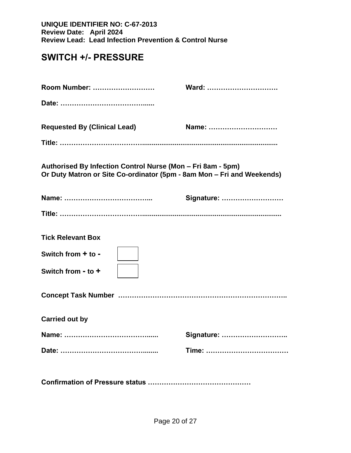## **SWITCH +/- PRESSURE**

| Room Number:                                                                                                                          | Ward:      |
|---------------------------------------------------------------------------------------------------------------------------------------|------------|
|                                                                                                                                       |            |
| <b>Requested By (Clinical Lead)</b>                                                                                                   | Name:      |
|                                                                                                                                       |            |
| Authorised By Infection Control Nurse (Mon - Fri 8am - 5pm)<br>Or Duty Matron or Site Co-ordinator (5pm - 8am Mon - Fri and Weekends) |            |
|                                                                                                                                       | Signature: |
|                                                                                                                                       |            |
| <b>Tick Relevant Box</b>                                                                                                              |            |
| Switch from + to -                                                                                                                    |            |
| Switch from - to +                                                                                                                    |            |
|                                                                                                                                       |            |
| <b>Carried out by</b>                                                                                                                 |            |
|                                                                                                                                       | Signature: |
|                                                                                                                                       |            |
|                                                                                                                                       |            |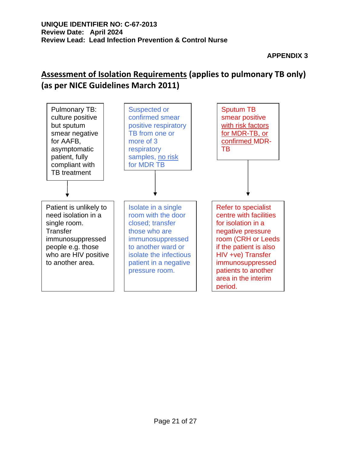## **Assessment of Isolation Requirements (applies to pulmonary TB only) (as per NICE Guidelines March 2011)**

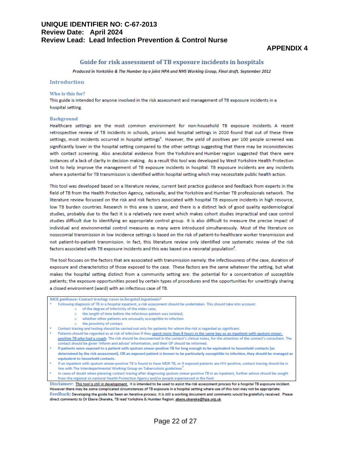#### **APPENDIX 4**

#### Guide for risk assessment of TB exposure incidents in hospitals

Produced in Yorkshire & The Humber by a joint HPA and NHS Working Group, Final draft, September 2012

#### **Introduction**

#### Who is this for?

This guide is intended for anyone involved in the risk assessment and management of TB exposure incidents in a hospital setting.

#### **Background**

Healthcare settings are the most common environment for non-household TB exposure incidents. A recent retrospective review of TB incidents in schools, prisons and hospital settings in 2010 found that out of these three settings, most incidents occurred in hospital settings<sup>1</sup>. However, the yield of positives per 100 people screened was significantly lower in the hospital setting compared to the other settings suggesting that there may be inconsistencies with contact screening. Also anecdotal evidence from the Yorkshire and Humber region suggested that there were instances of a lack of clarity in decision making. As a result this tool was developed by West Yorkshire Health Protection Unit to help improve the management of TB exposure incidents in hospital. TB exposure incidents are any incidents where a potential for TB transmission is identified within hospital setting which may necessitate public health action.

This tool was developed based on a literature review, current best practice guidance and feedback from experts in the field of TB from the Health Protection Agency, nationally, and the Yorkshire and Humber TB professionals network. The literature review focussed on the risk and risk factors associated with hospital TB exposure incidents in high resource. low TB burden countries. Research in this area is sparse, and there is a distinct lack of good quality epidemiological studies, probably due to the fact it is a relatively rare event which makes cohort studies impractical and case control studies difficult due to identifying an appropriate control group. It is also difficult to measure the precise impact of individual and environmental control measures as many were introduced simultaneously. Most of the literature on nosocomial transmission in low incidence settings is based on the risk of patient-to-healthcare worker transmission and not patient-to-patient transmission. In fact, this literature review only identified one systematic review of the risk factors associated with TB exposure incidents and this was based on a neonatal population<sup>2</sup>.

The tool focuses on the factors that are associated with transmission namely: the infectiousness of the case, duration of exposure and characteristics of those exposed to the case. These factors are the same whatever the setting, but what makes the hospital setting distinct from a community setting are: the potential for a concentration of susceptible patients; the exposure opportunities posed by certain types of procedures and the opportunities for unwittingly sharing a closed environment (ward) with an infectious case of TB.

NICE guidance: Contact tracing: cases in hospital inpatients<sup>3</sup>

- Following diagnosis of TB in a hospital inpatient, a risk assessment should be undertaken. This should take into account:
	- o of the degree of infectivity of the index case;
	- $\circ$ the length of time before the infectious patient was isolated;
	- o whether other patients are unusually susceptible to infection
	- $\circ$  the proximity of contact.
- Contact tracing and testing should be carried out only for patients for whom the risk is regarded as significant.
- Patients should be regarded as at risk of infection if they spent more than 8 hours in the same bay as an inpatient with sputum smearpositive TB who had a cough. The risk should be documented in the contact's clinical notes, for the attention of the contact's consultant. The contact should be given 'Inform and advise' information, and their GP should be informed.
- If patients were exposed to a patient with sputum smear-positive TB for long enough to be equivalent to household contacts (as determined by the risk assessment), OR an exposed patient is known to be particularly susceptible to infection, they should be managed as
- equivalent to household contacts. If an inpatient with sputum smear-positive TB is found to have MDR TB, or if exposed patients are HIV-positive, contact tracing should be in
- line with The Interdepartmental Working Group on Tuberculosis guidelines
- In cases of doubt when planning contact tracing after diagnosing sputum smear-positive TB in an inpatient, further advice should be sought from the regional or national Health Protection Agency and/or people experienced in the field.

Disclaimer: This tool is still in development. It is intended to be used to assist the risk assessment process for a hospital TB exposure incident. However there may be some complicated circumstances of TB exposure in a hospital setting where use of this tool may not be appropriate. Feedback: Developing the guide has been an iterative process. It is still a working document and comments would be gratefully received. Please direct comments to Dr Ebere Okereke, TB lead Yorkshire & Humber Region: ebere.okereke@hpa.org.uk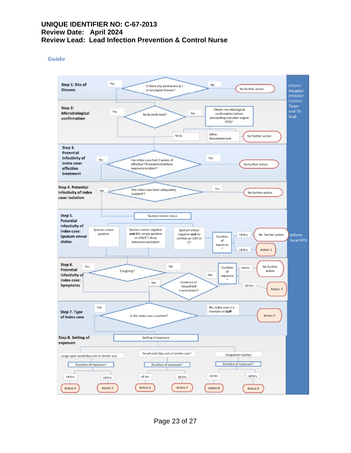#### Guide

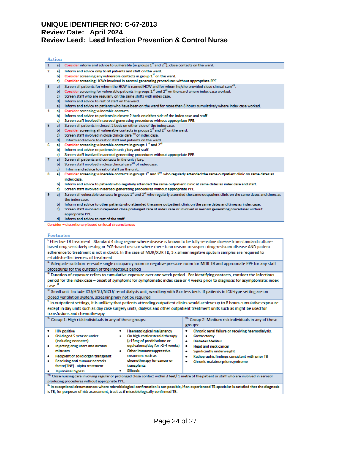#### 1 a) Consider inform and advice to vulnerable (in groups  $1^{\prime\prime}$  and  $2^{\prime\prime\prime}$ ), close contacts on the ward.  $\overline{2}$ a) Inform and advice only to all patients and staff on the ward. b) Consider screening any vulnerable contacts in group  $1^{\prime\prime}$  on the ward. c) Consider screening HCWs involved in aerosol generating procedures without appropriate PPE. a) Screen all patients for whom the HCW is named HCW and for whom he/she provided close clinical care<sup>vii</sup>.  $\overline{3}$ b) Consider screening for vulnerable patients in groups 1<sup>vi</sup> and 2<sup>vii</sup> on the ward where index case worked. c) Screen staff who are regularly on the same shifts with index case. d) Inform and advice to rest of staff on the ward. e) Inform and advice to patients who have been on the ward for more than 8 hours cumulatively where index case worked. 4 a) Consider screening vulnerable contacts. b) Inform and advice to patients in closest 2 beds on either side of the index case and staff. Screen staff involved in aerosol generating procedures without appropriate PPE. c) a) Screen all patients in closest 2 beds on either side of the index case.  $\overline{\mathbf{5}}$ b) Consider screening all vulnerable contacts in groups 1<sup>vi</sup> and 2<sup>vii</sup> on the ward. c) Screen staff involved in close clinical care vill of index case. d) Inform and advice to rest of staff and patients on the ward.

- Consider screening vulnerable contacts in groups 1 <sup>M</sup> and 2<sup>vil</sup> 6 a)
- b) Inform and advice to patients in unit / bay and staff.
- Screen staff involved in aerosol generating procedures without appropriate PPE. c)
- a) Screen all patients and contacts in the unit / bay.
- b) Screen staff involved in close clinical care<sup>vii</sup> of index case.
- c) Inform and advice to rest of staff on the unit.
- a) Consider screening vulnerable contacts in groups 1<sup>vi</sup> and 2<sup>vii</sup> who regularly attended the same outpatient clinic on same dates as 8 index case.
	- b) Inform and advice to patients who regularly attended the same outpatient clinic at same dates as index case and staff.
	- c) Screen staff involved in aerosol generating procedures without appropriate PPE.
- a) Screen all vulnerable contacts in groups 1<sup>vi</sup> and 2<sup>vii</sup> who regularly attended the same outpatient clinic on the same dates and times as  $\mathbf{Q}$ the index case.
	- b) Inform and advice to other patients who attended the same outpatient clinic on the same dates and times as index case. c) Screen staff involved in repeated close prolonged care of index case or involved in aerosol generating procedures without appropriate PPE.
	- d) Inform and advice to rest of the staff
- Consider discretionary based on local circumstances

#### **Footnotes**

**Action** 

| Effective TB treatment: Standard 4 drug regime where disease is known to be fully sensitive disease from standard culture-<br>based drug sensitively testing or PCR-based tests or where there is no reason to suspect drug-resistant disease AND patient<br>adherence to treatment is not in doubt. In the case of MDR/XDR TB, 3 x smear negative sputum samples are required to<br>establish effectiveness of treatment.                                                                                                                                                                                                                                                                               |                                                                                                                                                                                                                                                                                               |  |  |  |  |  |
|----------------------------------------------------------------------------------------------------------------------------------------------------------------------------------------------------------------------------------------------------------------------------------------------------------------------------------------------------------------------------------------------------------------------------------------------------------------------------------------------------------------------------------------------------------------------------------------------------------------------------------------------------------------------------------------------------------|-----------------------------------------------------------------------------------------------------------------------------------------------------------------------------------------------------------------------------------------------------------------------------------------------|--|--|--|--|--|
| <sup>II.</sup> Adequate isolation: en-suite single occupancy room or negative pressure room for MDR TB and appropriate PPE for any staff                                                                                                                                                                                                                                                                                                                                                                                                                                                                                                                                                                 |                                                                                                                                                                                                                                                                                               |  |  |  |  |  |
| procedures for the duration of the infectious period                                                                                                                                                                                                                                                                                                                                                                                                                                                                                                                                                                                                                                                     |                                                                                                                                                                                                                                                                                               |  |  |  |  |  |
| " Duration of exposure refers to cumulative exposure over one week period. For identifying contacts, consider the infectious                                                                                                                                                                                                                                                                                                                                                                                                                                                                                                                                                                             |                                                                                                                                                                                                                                                                                               |  |  |  |  |  |
| period for the index case – onset of symptoms for symptomatic index case or 4 weeks prior to diagnosis for asymptomatic index<br>case. <sup>3</sup>                                                                                                                                                                                                                                                                                                                                                                                                                                                                                                                                                      |                                                                                                                                                                                                                                                                                               |  |  |  |  |  |
| <sup>1x.</sup> Small unit: Include ICU/HDU/NICU/ renal dialysis unit, ward bay with 8 or less beds. If patients in ICU-type setting are on                                                                                                                                                                                                                                                                                                                                                                                                                                                                                                                                                               |                                                                                                                                                                                                                                                                                               |  |  |  |  |  |
| closed ventilation system, screening may not be required                                                                                                                                                                                                                                                                                                                                                                                                                                                                                                                                                                                                                                                 |                                                                                                                                                                                                                                                                                               |  |  |  |  |  |
| <sup>v.</sup> In outpatient settings, it is unlikely that patients attending outpatient clinics would achieve up to 8 hours cumulative exposure                                                                                                                                                                                                                                                                                                                                                                                                                                                                                                                                                          |                                                                                                                                                                                                                                                                                               |  |  |  |  |  |
| except in day units such as day case surgery units, dialysis and other outpatient treatment units such as might be used for<br>transfusions and chemotherapy.                                                                                                                                                                                                                                                                                                                                                                                                                                                                                                                                            |                                                                                                                                                                                                                                                                                               |  |  |  |  |  |
|                                                                                                                                                                                                                                                                                                                                                                                                                                                                                                                                                                                                                                                                                                          |                                                                                                                                                                                                                                                                                               |  |  |  |  |  |
| <sup>w.</sup> Group 1: High risk individuals in any of these groups:                                                                                                                                                                                                                                                                                                                                                                                                                                                                                                                                                                                                                                     | VII. Group 2: Medium risk individuals in any of these<br>groups:                                                                                                                                                                                                                              |  |  |  |  |  |
| <b>HIV positive</b><br><b>Haematological malignancy</b><br>۰<br>Child aged 5 year or under<br>On high corticosteroid therapy<br>۰<br>(including neonates)<br>(>15mg of prednisolone or<br>equivalents/day for >2-4 weeks)<br>Injecting drug users and alcohol<br>۰<br>Other immunosuppressive<br>misusers<br>۰<br>treatment such as<br>Recipient of solid organ transplant<br>۰<br>chemotherapy for cancer or<br><b>Receiving anti-tumour necrosis</b><br>٠<br>transplants<br>factor(TNF) - alpha treatment<br><b>Silicosis</b><br>Jejunoileal bypass<br>vil. Close nursing care involving regular or prolonged close contact within 3 feet/ 1 metre of the patient or staff who are involved in aerosol | Chronic renal failure or receiving haemodialysis.<br>۰<br>Gastrectomy<br>۰<br><b>Diabetes Mellitus</b><br>٠<br><b>Head and neck cancer</b><br>۰<br><b>Significantly underweight</b><br>٠<br>Radiographic findings consistent with prior TB<br>۰<br><b>Chronic malabsorption syndrome</b><br>۰ |  |  |  |  |  |
| producing procedures without appropriate PPE.                                                                                                                                                                                                                                                                                                                                                                                                                                                                                                                                                                                                                                                            |                                                                                                                                                                                                                                                                                               |  |  |  |  |  |
| In exceptional circumstances where microbiological confirmation is not possible, if an experienced TB specialist is satisfied that the diagnosis<br>is TB, for purposes of risk assessment, treat as if microbiologically confirmed TB.                                                                                                                                                                                                                                                                                                                                                                                                                                                                  |                                                                                                                                                                                                                                                                                               |  |  |  |  |  |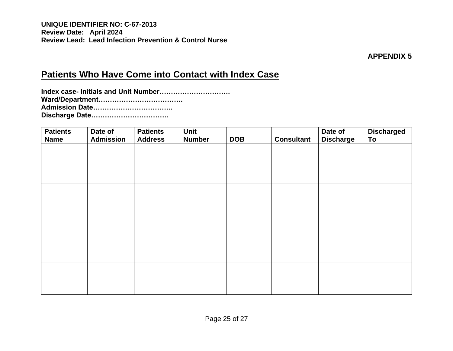**APPENDIX 5**

## **Patients Who Have Come into Contact with Index Case**

| <b>Patients</b><br><b>Name</b> | Date of<br><b>Admission</b> | <b>Patients</b><br><b>Address</b> | Unit<br><b>Number</b> | <b>DOB</b> | <b>Consultant</b> | Date of<br><b>Discharge</b> | <b>Discharged</b><br>To |
|--------------------------------|-----------------------------|-----------------------------------|-----------------------|------------|-------------------|-----------------------------|-------------------------|
|                                |                             |                                   |                       |            |                   |                             |                         |
|                                |                             |                                   |                       |            |                   |                             |                         |
|                                |                             |                                   |                       |            |                   |                             |                         |
|                                |                             |                                   |                       |            |                   |                             |                         |
|                                |                             |                                   |                       |            |                   |                             |                         |
|                                |                             |                                   |                       |            |                   |                             |                         |
|                                |                             |                                   |                       |            |                   |                             |                         |
|                                |                             |                                   |                       |            |                   |                             |                         |
|                                |                             |                                   |                       |            |                   |                             |                         |
|                                |                             |                                   |                       |            |                   |                             |                         |
|                                |                             |                                   |                       |            |                   |                             |                         |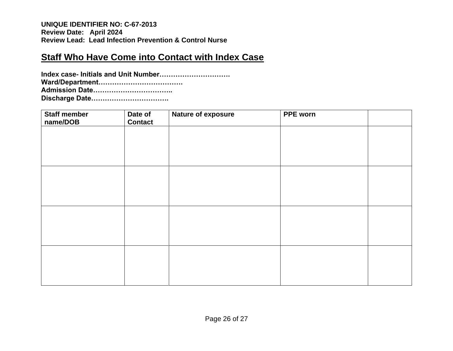## **Staff Who Have Come into Contact with Index Case**

| Staff member<br>name/DOB | Date of<br><b>Contact</b> | Nature of exposure | <b>PPE</b> worn |  |
|--------------------------|---------------------------|--------------------|-----------------|--|
|                          |                           |                    |                 |  |
|                          |                           |                    |                 |  |
|                          |                           |                    |                 |  |
|                          |                           |                    |                 |  |
|                          |                           |                    |                 |  |
|                          |                           |                    |                 |  |
|                          |                           |                    |                 |  |
|                          |                           |                    |                 |  |
|                          |                           |                    |                 |  |